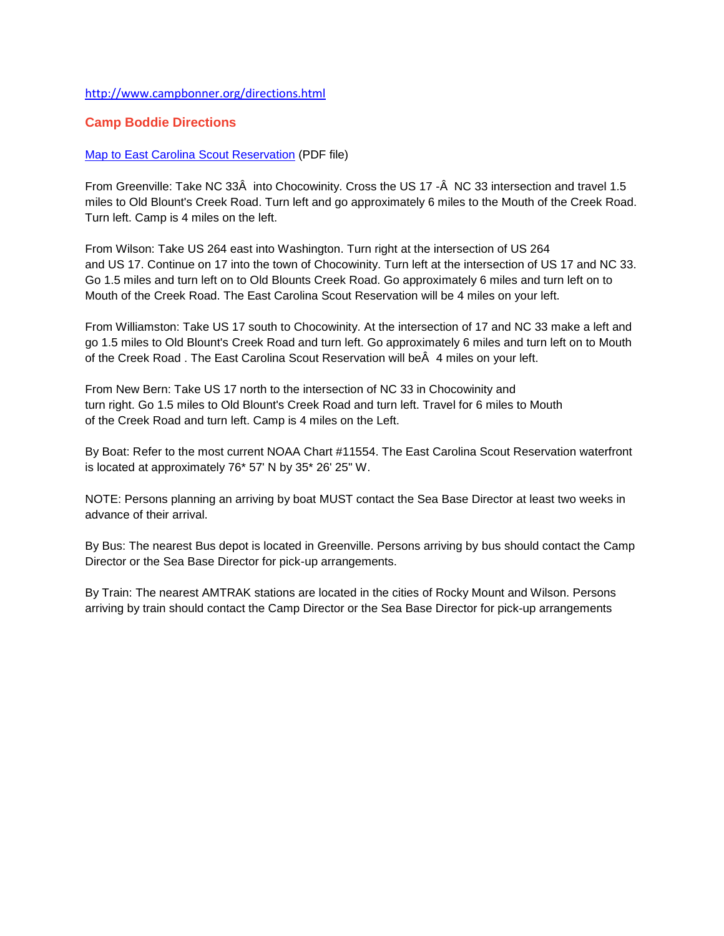## <http://www.campbonner.org/directions.html>

## **Camp Boddie Directions**

## [Map to East Carolina Scout Reservation](http://www.campbonner.org/forms/Map%20to%20Camp%20Bonner%20South.pdf) (PDF file)

From Greenville: Take NC 33Â into Chocowinity. Cross the US 17 -Â NC 33 intersection and travel 1.5 miles to Old Blount's Creek Road. Turn left and go approximately 6 miles to the Mouth of the Creek Road. Turn left. Camp is 4 miles on the left.

From Wilson: Take US 264 east into Washington. Turn right at the intersection of US 264 and US 17. Continue on 17 into the town of Chocowinity. Turn left at the intersection of US 17 and NC 33. Go 1.5 miles and turn left on to Old Blounts Creek Road. Go approximately 6 miles and turn left on to Mouth of the Creek Road. The East Carolina Scout Reservation will be 4 miles on your left.

From Williamston: Take US 17 south to Chocowinity. At the intersection of 17 and NC 33 make a left and go 1.5 miles to Old Blount's Creek Road and turn left. Go approximately 6 miles and turn left on to Mouth of the Creek Road . The East Carolina Scout Reservation will beÂ 4 miles on your left.

From New Bern: Take US 17 north to the intersection of NC 33 in Chocowinity and turn right. Go 1.5 miles to Old Blount's Creek Road and turn left. Travel for 6 miles to Mouth of the Creek Road and turn left. Camp is 4 miles on the Left.

By Boat: Refer to the most current NOAA Chart #11554. The East Carolina Scout Reservation waterfront is located at approximately 76\* 57' N by 35\* 26' 25" W.

NOTE: Persons planning an arriving by boat MUST contact the Sea Base Director at least two weeks in advance of their arrival.

By Bus: The nearest Bus depot is located in Greenville. Persons arriving by bus should contact the Camp Director or the Sea Base Director for pick-up arrangements.

By Train: The nearest AMTRAK stations are located in the cities of Rocky Mount and Wilson. Persons arriving by train should contact the Camp Director or the Sea Base Director for pick-up arrangements